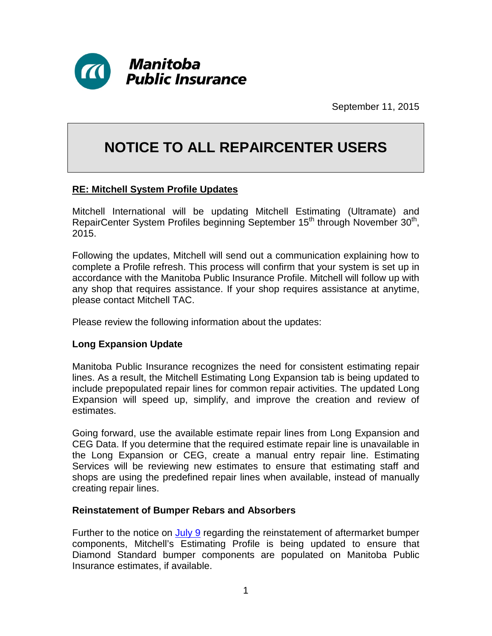

September 11, 2015

## **NOTICE TO ALL REPAIRCENTER USERS**

## **RE: Mitchell System Profile Updates**

Mitchell International will be updating Mitchell Estimating (Ultramate) and RepairCenter System Profiles beginning September 15<sup>th</sup> through November 30<sup>th</sup>, 2015.

Following the updates, Mitchell will send out a communication explaining how to complete a Profile refresh. This process will confirm that your system is set up in accordance with the Manitoba Public Insurance Profile. Mitchell will follow up with any shop that requires assistance. If your shop requires assistance at anytime, please contact Mitchell TAC.

Please review the following information about the updates:

## **Long Expansion Update**

Manitoba Public Insurance recognizes the need for consistent estimating repair lines. As a result, the Mitchell Estimating Long Expansion tab is being updated to include prepopulated repair lines for common repair activities. The updated Long Expansion will speed up, simplify, and improve the creation and review of estimates.

Going forward, use the available estimate repair lines from Long Expansion and CEG Data. If you determine that the required estimate repair line is unavailable in the Long Expansion or CEG, create a manual entry repair line. Estimating Services will be reviewing new estimates to ensure that estimating staff and shops are using the predefined repair lines when available, instead of manually creating repair lines.

## **Reinstatement of Bumper Rebars and Absorbers**

Further to the notice on [July 9](http://www.mpipartners.ca/documents/Notices%20to%20trade/Misc/AftermarketReinforcementBars07092015.PDF) regarding the reinstatement of aftermarket bumper components, Mitchell's Estimating Profile is being updated to ensure that Diamond Standard bumper components are populated on Manitoba Public Insurance estimates, if available.